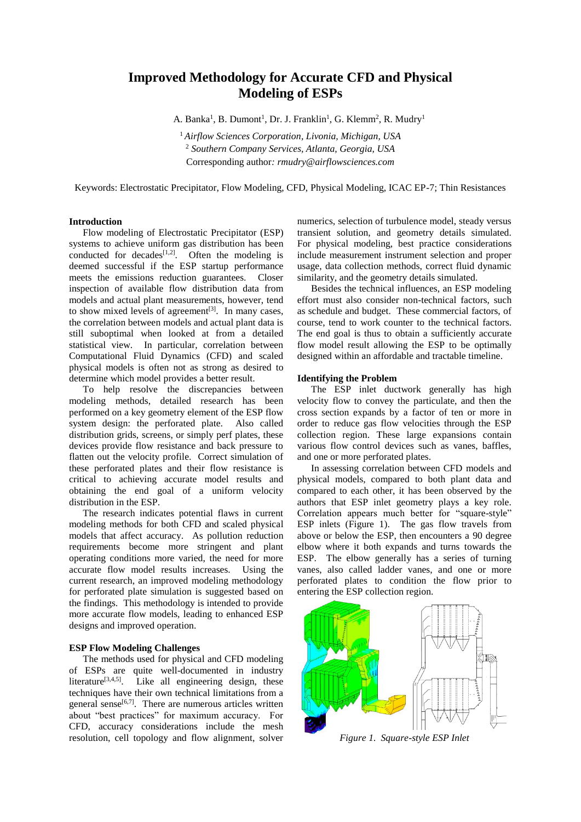# **Improved Methodology for Accurate CFD and Physical Modeling of ESPs**

A. Banka<sup>1</sup>, B. Dumont<sup>1</sup>, Dr. J. Franklin<sup>1</sup>, G. Klemm<sup>2</sup>, R. Mudry<sup>1</sup>

<sup>1</sup> *Airflow Sciences Corporation, Livonia, Michigan, USA* <sup>2</sup> *Southern Company Services, Atlanta, Georgia, USA* Corresponding author*: rmudry@airflowsciences.com*

Keywords: Electrostatic Precipitator, Flow Modeling, CFD, Physical Modeling, ICAC EP-7; Thin Resistances

#### **Introduction**

Flow modeling of Electrostatic Precipitator (ESP) systems to achieve uniform gas distribution has been conducted for decades<sup>[1,2]</sup>. Often the modeling is deemed successful if the ESP startup performance meets the emissions reduction guarantees. Closer inspection of available flow distribution data from models and actual plant measurements, however, tend to show mixed levels of agreement $[3]$ . In many cases, the correlation between models and actual plant data is still suboptimal when looked at from a detailed statistical view. In particular, correlation between Computational Fluid Dynamics (CFD) and scaled physical models is often not as strong as desired to determine which model provides a better result.

To help resolve the discrepancies between modeling methods, detailed research has been performed on a key geometry element of the ESP flow system design: the perforated plate. Also called distribution grids, screens, or simply perf plates, these devices provide flow resistance and back pressure to flatten out the velocity profile. Correct simulation of these perforated plates and their flow resistance is critical to achieving accurate model results and obtaining the end goal of a uniform velocity distribution in the ESP.

The research indicates potential flaws in current modeling methods for both CFD and scaled physical models that affect accuracy. As pollution reduction requirements become more stringent and plant operating conditions more varied, the need for more accurate flow model results increases. Using the current research, an improved modeling methodology for perforated plate simulation is suggested based on the findings. This methodology is intended to provide more accurate flow models, leading to enhanced ESP designs and improved operation.

## **ESP Flow Modeling Challenges**

The methods used for physical and CFD modeling of ESPs are quite well-documented in industry literature<sup>[3,4,5]</sup>. Like all engineering design, these techniques have their own technical limitations from a general sense<sup>[6,7]</sup>. There are numerous articles written about "best practices" for maximum accuracy. For CFD, accuracy considerations include the mesh resolution, cell topology and flow alignment, solver

numerics, selection of turbulence model, steady versus transient solution, and geometry details simulated. For physical modeling, best practice considerations include measurement instrument selection and proper usage, data collection methods, correct fluid dynamic similarity, and the geometry details simulated.

Besides the technical influences, an ESP modeling effort must also consider non-technical factors, such as schedule and budget. These commercial factors, of course, tend to work counter to the technical factors. The end goal is thus to obtain a sufficiently accurate flow model result allowing the ESP to be optimally designed within an affordable and tractable timeline.

## **Identifying the Problem**

The ESP inlet ductwork generally has high velocity flow to convey the particulate, and then the cross section expands by a factor of ten or more in order to reduce gas flow velocities through the ESP collection region. These large expansions contain various flow control devices such as vanes, baffles, and one or more perforated plates.

In assessing correlation between CFD models and physical models, compared to both plant data and compared to each other, it has been observed by the authors that ESP inlet geometry plays a key role. Correlation appears much better for "square-style" ESP inlets (Figure 1). The gas flow travels from above or below the ESP, then encounters a 90 degree elbow where it both expands and turns towards the ESP. The elbow generally has a series of turning vanes, also called ladder vanes, and one or more perforated plates to condition the flow prior to entering the ESP collection region.



*Figure 1. Square-style ESP Inlet*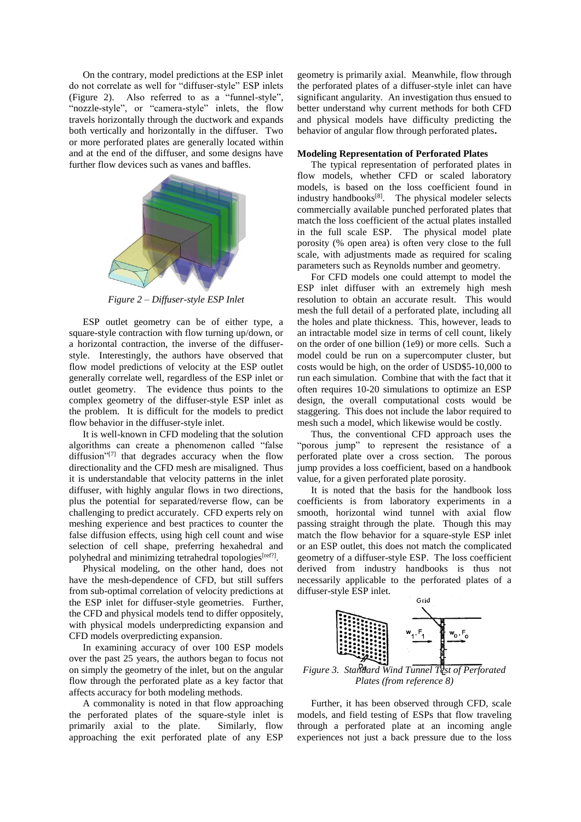On the contrary, model predictions at the ESP inlet do not correlate as well for "diffuser-style" ESP inlets (Figure 2). Also referred to as a "funnel-style", "nozzle-style", or "camera-style" inlets, the flow travels horizontally through the ductwork and expands both vertically and horizontally in the diffuser. Two or more perforated plates are generally located within and at the end of the diffuser, and some designs have further flow devices such as vanes and baffles.



*Figure 2 – Diffuser-style ESP Inlet*

ESP outlet geometry can be of either type, a square-style contraction with flow turning up/down, or a horizontal contraction, the inverse of the diffuserstyle. Interestingly, the authors have observed that flow model predictions of velocity at the ESP outlet generally correlate well, regardless of the ESP inlet or outlet geometry. The evidence thus points to the complex geometry of the diffuser-style ESP inlet as the problem. It is difficult for the models to predict flow behavior in the diffuser-style inlet.

It is well-known in CFD modeling that the solution algorithms can create a phenomenon called "false diffusion"<sup>[7]</sup> that degrades accuracy when the flow directionality and the CFD mesh are misaligned. Thus it is understandable that velocity patterns in the inlet diffuser, with highly angular flows in two directions, plus the potential for separated/reverse flow, can be challenging to predict accurately. CFD experts rely on meshing experience and best practices to counter the false diffusion effects, using high cell count and wise selection of cell shape, preferring hexahedral and polyhedral and minimizing tetrahedral topologies<sup>[ref?]</sup>.

Physical modeling, on the other hand, does not have the mesh-dependence of CFD, but still suffers from sub-optimal correlation of velocity predictions at the ESP inlet for diffuser-style geometries. Further, the CFD and physical models tend to differ oppositely, with physical models underpredicting expansion and CFD models overpredicting expansion.

In examining accuracy of over 100 ESP models over the past 25 years, the authors began to focus not on simply the geometry of the inlet, but on the angular flow through the perforated plate as a key factor that affects accuracy for both modeling methods.

A commonality is noted in that flow approaching the perforated plates of the square-style inlet is primarily axial to the plate. Similarly, flow approaching the exit perforated plate of any ESP

geometry is primarily axial. Meanwhile, flow through the perforated plates of a diffuser-style inlet can have significant angularity. An investigation thus ensued to better understand why current methods for both CFD and physical models have difficulty predicting the behavior of angular flow through perforated plates**.** 

#### **Modeling Representation of Perforated Plates**

The typical representation of perforated plates in flow models, whether CFD or scaled laboratory models, is based on the loss coefficient found in industry handbooks $[8]$ . The physical modeler selects commercially available punched perforated plates that match the loss coefficient of the actual plates installed in the full scale ESP. The physical model plate porosity (% open area) is often very close to the full scale, with adjustments made as required for scaling parameters such as Reynolds number and geometry.

For CFD models one could attempt to model the ESP inlet diffuser with an extremely high mesh resolution to obtain an accurate result. This would mesh the full detail of a perforated plate, including all the holes and plate thickness. This, however, leads to an intractable model size in terms of cell count, likely on the order of one billion (1e9) or more cells. Such a model could be run on a supercomputer cluster, but costs would be high, on the order of USD\$5-10,000 to run each simulation. Combine that with the fact that it often requires 10-20 simulations to optimize an ESP design, the overall computational costs would be staggering. This does not include the labor required to mesh such a model, which likewise would be costly.

Thus, the conventional CFD approach uses the "porous jump" to represent the resistance of a perforated plate over a cross section. The porous jump provides a loss coefficient, based on a handbook value, for a given perforated plate porosity.

It is noted that the basis for the handbook loss coefficients is from laboratory experiments in a smooth, horizontal wind tunnel with axial flow passing straight through the plate. Though this may match the flow behavior for a square-style ESP inlet or an ESP outlet, this does not match the complicated geometry of a diffuser-style ESP. The loss coefficient derived from industry handbooks is thus not necessarily applicable to the perforated plates of a diffuser-style ESP inlet.



*Plates (from reference 8)*

Further, it has been observed through CFD, scale models, and field testing of ESPs that flow traveling through a perforated plate at an incoming angle experiences not just a back pressure due to the loss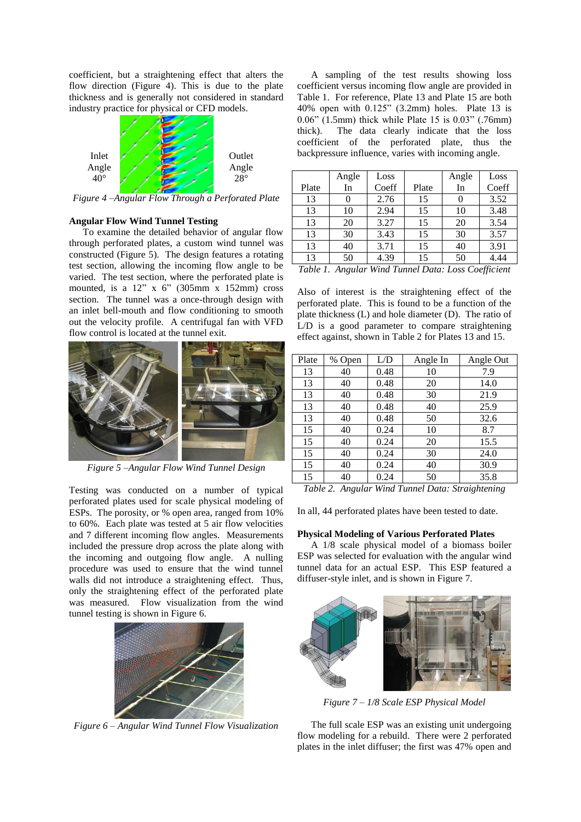coefficient, but a straightening effect that alters the flow direction (Figure 4). This is due to the plate thickness and is generally not considered in standard industry practice for physical or CFD models.



*Figure 4 –Angular Flow Through a Perforated Plate*

# **Angular Flow Wind Tunnel Testing**

To examine the detailed behavior of angular flow through perforated plates, a custom wind tunnel was constructed (Figure 5). The design features a rotating test section, allowing the incoming flow angle to be varied. The test section, where the perforated plate is mounted, is a  $12$ " x 6" (305mm x 152mm) cross section. The tunnel was a once-through design with an inlet bell-mouth and flow conditioning to smooth out the velocity profile. A centrifugal fan with VFD flow control is located at the tunnel exit.



*Figure 5 –Angular Flow Wind Tunnel Design*

Testing was conducted on a number of typical perforated plates used for scale physical modeling of ESPs. The porosity, or % open area, ranged from 10% to 60%. Each plate was tested at 5 air flow velocities and 7 different incoming flow angles. Measurements included the pressure drop across the plate along with the incoming and outgoing flow angle. A nulling procedure was used to ensure that the wind tunnel walls did not introduce a straightening effect. Thus, only the straightening effect of the perforated plate was measured. Flow visualization from the wind tunnel testing is shown in Figure 6.



*Figure 6 – Angular Wind Tunnel Flow Visualization*

A sampling of the test results showing loss coefficient versus incoming flow angle are provided in Table 1. For reference, Plate 13 and Plate 15 are both 40% open with 0.125" (3.2mm) holes. Plate 13 is 0.06" (1.5mm) thick while Plate 15 is 0.03" (.76mm) thick). The data clearly indicate that the loss coefficient of the perforated plate, thus the backpressure influence, varies with incoming angle.

|                                                                        | Angle | Loss  |       | Angle    | Loss  |
|------------------------------------------------------------------------|-------|-------|-------|----------|-------|
| Plate                                                                  | In    | Coeff | Plate | In       | Coeff |
| 13                                                                     | 0     | 2.76  | 15    | $\theta$ | 3.52  |
| 13                                                                     | 10    | 2.94  | 15    | 10       | 3.48  |
| 13                                                                     | 20    | 3.27  | 15    | 20       | 3.54  |
| 13                                                                     | 30    | 3.43  | 15    | 30       | 3.57  |
| 13                                                                     | 40    | 3.71  | 15    | 40       | 3.91  |
| 13                                                                     | 50    | 4.39  | 15    | 50       | 4.44  |
| $Ta$ <sub>b</sub> $la$ 1<br>Angular Wind Tunnal Data: Loss Coefficient |       |       |       |          |       |

*Table 1. Angular Wind Tunnel Data: Loss Coefficient*

Also of interest is the straightening effect of the perforated plate. This is found to be a function of the plate thickness (L) and hole diameter (D). The ratio of L/D is a good parameter to compare straightening effect against, shown in Table 2 for Plates 13 and 15.

| Plate | % Open | L/D  | Angle In | Angle Out |
|-------|--------|------|----------|-----------|
| 13    | 40     | 0.48 | 10       | 7.9       |
| 13    | 40     | 0.48 | 20       | 14.0      |
| 13    | 40     | 0.48 | 30       | 21.9      |
| 13    | 40     | 0.48 | 40       | 25.9      |
| 13    | 40     | 0.48 | 50       | 32.6      |
| 15    | 40     | 0.24 | 10       | 8.7       |
| 15    | 40     | 0.24 | 20       | 15.5      |
| 15    | 40     | 0.24 | 30       | 24.0      |
| 15    | 40     | 0.24 | 40       | 30.9      |
| 15    | 40     | 0.24 | 50       | 35.8      |

*Table 2. Angular Wind Tunnel Data: Straightening*

In all, 44 perforated plates have been tested to date.

## **Physical Modeling of Various Perforated Plates**

A 1/8 scale physical model of a biomass boiler ESP was selected for evaluation with the angular wind tunnel data for an actual ESP. This ESP featured a diffuser-style inlet, and is shown in Figure 7.



*Figure 7 – 1/8 Scale ESP Physical Model*

The full scale ESP was an existing unit undergoing flow modeling for a rebuild. There were 2 perforated plates in the inlet diffuser; the first was 47% open and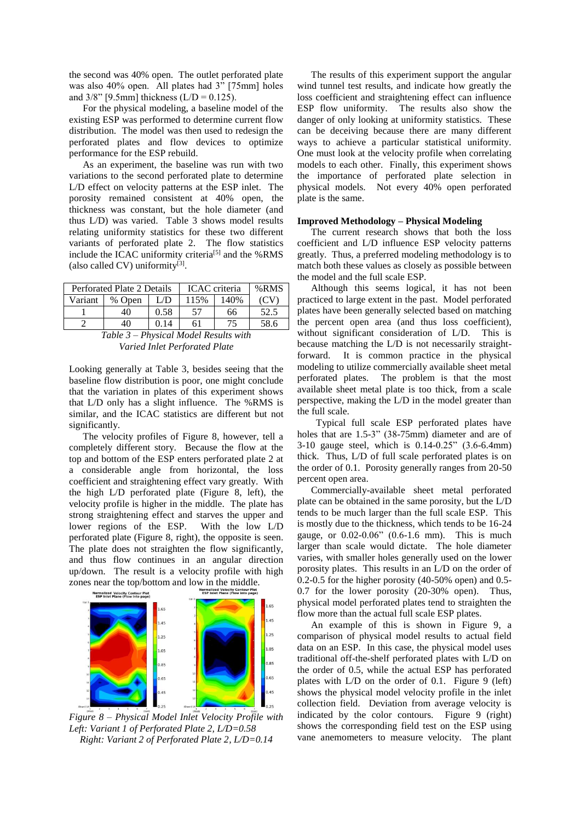the second was 40% open. The outlet perforated plate was also 40% open. All plates had 3" [75mm] holes and  $3/8$ " [9.5mm] thickness (L/D = 0.125).

For the physical modeling, a baseline model of the existing ESP was performed to determine current flow distribution. The model was then used to redesign the perforated plates and flow devices to optimize performance for the ESP rebuild.

As an experiment, the baseline was run with two variations to the second perforated plate to determine L/D effect on velocity patterns at the ESP inlet. The porosity remained consistent at 40% open, the thickness was constant, but the hole diameter (and thus L/D) was varied. Table 3 shows model results relating uniformity statistics for these two different variants of perforated plate 2. The flow statistics include the ICAC uniformity criteria<sup>[5]</sup> and the %RMS (also called CV) uniformity $^{[3]}$ .

| Perforated Plate 2 Details |        |      | <b>ICAC</b> criteria |      | % RMS |
|----------------------------|--------|------|----------------------|------|-------|
| Variant                    | % Open | L/D  | 115%                 | 140% |       |
|                            | 40     | 0.58 | 57                   | 66   | 52.5  |
|                            | 40     |      | 61                   | 75   | 58.6  |

*Table 3 – Physical Model Results with Varied Inlet Perforated Plate*

Looking generally at Table 3, besides seeing that the baseline flow distribution is poor, one might conclude that the variation in plates of this experiment shows that L/D only has a slight influence. The %RMS is similar, and the ICAC statistics are different but not significantly.

The velocity profiles of Figure 8, however, tell a completely different story. Because the flow at the top and bottom of the ESP enters perforated plate 2 at a considerable angle from horizontal, the loss coefficient and straightening effect vary greatly. With the high L/D perforated plate (Figure 8, left), the velocity profile is higher in the middle. The plate has strong straightening effect and starves the upper and lower regions of the ESP. With the low L/D perforated plate (Figure 8, right), the opposite is seen. The plate does not straighten the flow significantly, and thus flow continues in an angular direction up/down. The result is a velocity profile with high



*Figure 8 – Physical Model Inlet Velocity Profile with Left: Variant 1 of Perforated Plate 2, L/D=0.58 Right: Variant 2 of Perforated Plate 2, L/D=0.14*

The results of this experiment support the angular wind tunnel test results, and indicate how greatly the loss coefficient and straightening effect can influence ESP flow uniformity. The results also show the danger of only looking at uniformity statistics. These can be deceiving because there are many different ways to achieve a particular statistical uniformity. One must look at the velocity profile when correlating models to each other. Finally, this experiment shows the importance of perforated plate selection in physical models. Not every 40% open perforated plate is the same.

#### **Improved Methodology – Physical Modeling**

The current research shows that both the loss coefficient and L/D influence ESP velocity patterns greatly. Thus, a preferred modeling methodology is to match both these values as closely as possible between the model and the full scale ESP.

Although this seems logical, it has not been practiced to large extent in the past. Model perforated plates have been generally selected based on matching the percent open area (and thus loss coefficient), without significant consideration of L/D. This is because matching the L/D is not necessarily straightforward. It is common practice in the physical modeling to utilize commercially available sheet metal perforated plates. The problem is that the most available sheet metal plate is too thick, from a scale perspective, making the L/D in the model greater than the full scale.

 Typical full scale ESP perforated plates have holes that are 1.5-3" (38-75mm) diameter and are of 3-10 gauge steel, which is 0.14-0.25" (3.6-6.4mm) thick. Thus, L/D of full scale perforated plates is on the order of 0.1. Porosity generally ranges from 20-50 percent open area.

Commercially-available sheet metal perforated plate can be obtained in the same porosity, but the L/D tends to be much larger than the full scale ESP. This is mostly due to the thickness, which tends to be 16-24 gauge, or 0.02-0.06" (0.6-1.6 mm). This is much larger than scale would dictate. The hole diameter varies, with smaller holes generally used on the lower porosity plates. This results in an L/D on the order of 0.2-0.5 for the higher porosity (40-50% open) and 0.5- 0.7 for the lower porosity (20-30% open). Thus, physical model perforated plates tend to straighten the flow more than the actual full scale ESP plates.

An example of this is shown in Figure 9, a comparison of physical model results to actual field data on an ESP. In this case, the physical model uses traditional off-the-shelf perforated plates with L/D on the order of 0.5, while the actual ESP has perforated plates with L/D on the order of 0.1. Figure 9 (left) shows the physical model velocity profile in the inlet collection field. Deviation from average velocity is indicated by the color contours. Figure 9 (right) shows the corresponding field test on the ESP using vane anemometers to measure velocity. The plant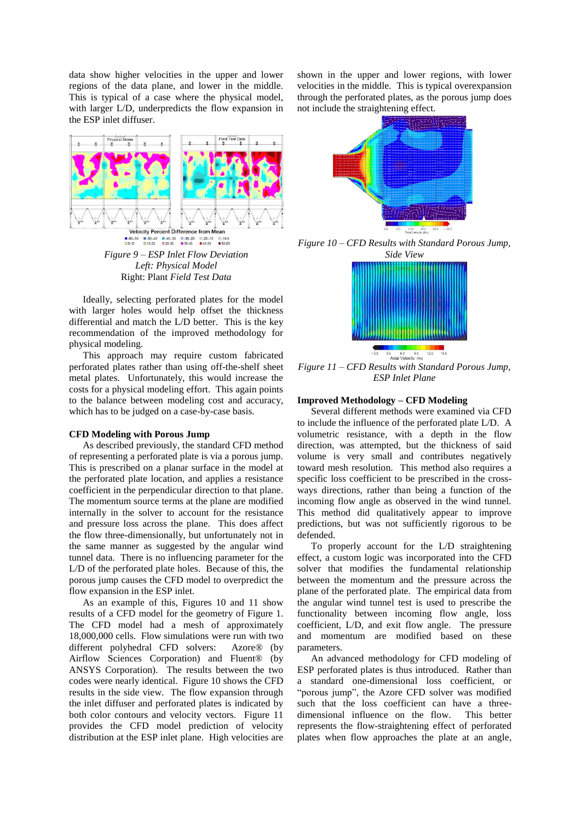data show higher velocities in the upper and lower regions of the data plane, and lower in the middle. This is typical of a case where the physical model, with larger L/D, underpredicts the flow expansion in the ESP inlet diffuser.



*Figure 9 – ESP Inlet Flow Deviation Left: Physical Model* Right: Plant *Field Test Data*

Ideally, selecting perforated plates for the model with larger holes would help offset the thickness differential and match the L/D better. This is the key recommendation of the improved methodology for physical modeling.

This approach may require custom fabricated perforated plates rather than using off-the-shelf sheet metal plates. Unfortunately, this would increase the costs for a physical modeling effort. This again points to the balance between modeling cost and accuracy, which has to be judged on a case-by-case basis.

#### **CFD Modeling with Porous Jump**

As described previously, the standard CFD method of representing a perforated plate is via a porous jump. This is prescribed on a planar surface in the model at the perforated plate location, and applies a resistance coefficient in the perpendicular direction to that plane. The momentum source terms at the plane are modified internally in the solver to account for the resistance and pressure loss across the plane. This does affect the flow three-dimensionally, but unfortunately not in the same manner as suggested by the angular wind tunnel data. There is no influencing parameter for the L/D of the perforated plate holes. Because of this, the porous jump causes the CFD model to overpredict the flow expansion in the ESP inlet.

As an example of this, Figures 10 and 11 show results of a CFD model for the geometry of Figure 1. The CFD model had a mesh of approximately 18,000,000 cells. Flow simulations were run with two different polyhedral CFD solvers: Azore® (by Airflow Sciences Corporation) and Fluent® (by ANSYS Corporation). The results between the two codes were nearly identical. Figure 10 shows the CFD results in the side view. The flow expansion through the inlet diffuser and perforated plates is indicated by both color contours and velocity vectors. Figure 11 provides the CFD model prediction of velocity distribution at the ESP inlet plane. High velocities are

shown in the upper and lower regions, with lower velocities in the middle. This is typical overexpansion through the perforated plates, as the porous jump does not include the straightening effect.



*Figure 10 – CFD Results with Standard Porous Jump, Side View*



*Figure 11 – CFD Results with Standard Porous Jump, ESP Inlet Plane*

# **Improved Methodology – CFD Modeling**

Several different methods were examined via CFD to include the influence of the perforated plate L/D. A volumetric resistance, with a depth in the flow direction, was attempted, but the thickness of said volume is very small and contributes negatively toward mesh resolution. This method also requires a specific loss coefficient to be prescribed in the crossways directions, rather than being a function of the incoming flow angle as observed in the wind tunnel. This method did qualitatively appear to improve predictions, but was not sufficiently rigorous to be defended.

To properly account for the L/D straightening effect, a custom logic was incorporated into the CFD solver that modifies the fundamental relationship between the momentum and the pressure across the plane of the perforated plate. The empirical data from the angular wind tunnel test is used to prescribe the functionality between incoming flow angle, loss coefficient, L/D, and exit flow angle. The pressure and momentum are modified based on these parameters.

An advanced methodology for CFD modeling of ESP perforated plates is thus introduced. Rather than a standard one-dimensional loss coefficient, or "porous jump", the Azore CFD solver was modified such that the loss coefficient can have a threedimensional influence on the flow. This better represents the flow-straightening effect of perforated plates when flow approaches the plate at an angle,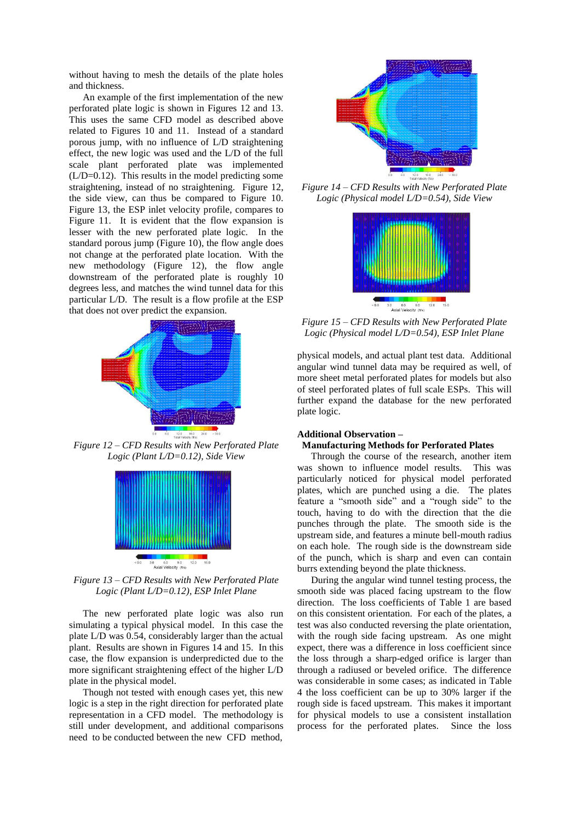without having to mesh the details of the plate holes and thickness.

An example of the first implementation of the new perforated plate logic is shown in Figures 12 and 13. This uses the same CFD model as described above related to Figures 10 and 11. Instead of a standard porous jump, with no influence of L/D straightening effect, the new logic was used and the L/D of the full scale plant perforated plate was implemented (L/D=0.12). This results in the model predicting some straightening, instead of no straightening. Figure 12, the side view, can thus be compared to Figure 10. Figure 13, the ESP inlet velocity profile, compares to Figure 11. It is evident that the flow expansion is lesser with the new perforated plate logic. In the standard porous jump (Figure 10), the flow angle does not change at the perforated plate location. With the new methodology (Figure 12), the flow angle downstream of the perforated plate is roughly 10 degrees less, and matches the wind tunnel data for this particular L/D. The result is a flow profile at the ESP that does not over predict the expansion.



*Figure 12 – CFD Results with New Perforated Plate Logic (Plant L/D=0.12), Side View*



*Figure 13 – CFD Results with New Perforated Plate Logic (Plant L/D=0.12), ESP Inlet Plane*

The new perforated plate logic was also run simulating a typical physical model. In this case the plate L/D was 0.54, considerably larger than the actual plant. Results are shown in Figures 14 and 15. In this case, the flow expansion is underpredicted due to the more significant straightening effect of the higher L/D plate in the physical model.

Though not tested with enough cases yet, this new logic is a step in the right direction for perforated plate representation in a CFD model. The methodology is still under development, and additional comparisons need to be conducted between the new CFD method,



*Figure 14 – CFD Results with New Perforated Plate Logic (Physical model L/D=0.54), Side View*



*Figure 15 – CFD Results with New Perforated Plate Logic (Physical model L/D=0.54), ESP Inlet Plane*

physical models, and actual plant test data. Additional angular wind tunnel data may be required as well, of more sheet metal perforated plates for models but also of steel perforated plates of full scale ESPs. This will further expand the database for the new perforated plate logic.

## **Additional Observation – Manufacturing Methods for Perforated Plates**

Through the course of the research, another item was shown to influence model results. This was particularly noticed for physical model perforated plates, which are punched using a die. The plates feature a "smooth side" and a "rough side" to the touch, having to do with the direction that the die punches through the plate. The smooth side is the upstream side, and features a minute bell-mouth radius on each hole. The rough side is the downstream side of the punch, which is sharp and even can contain burrs extending beyond the plate thickness.

During the angular wind tunnel testing process, the smooth side was placed facing upstream to the flow direction. The loss coefficients of Table 1 are based on this consistent orientation. For each of the plates, a test was also conducted reversing the plate orientation, with the rough side facing upstream. As one might expect, there was a difference in loss coefficient since the loss through a sharp-edged orifice is larger than through a radiused or beveled orifice. The difference was considerable in some cases; as indicated in Table 4 the loss coefficient can be up to 30% larger if the rough side is faced upstream. This makes it important for physical models to use a consistent installation process for the perforated plates. Since the loss